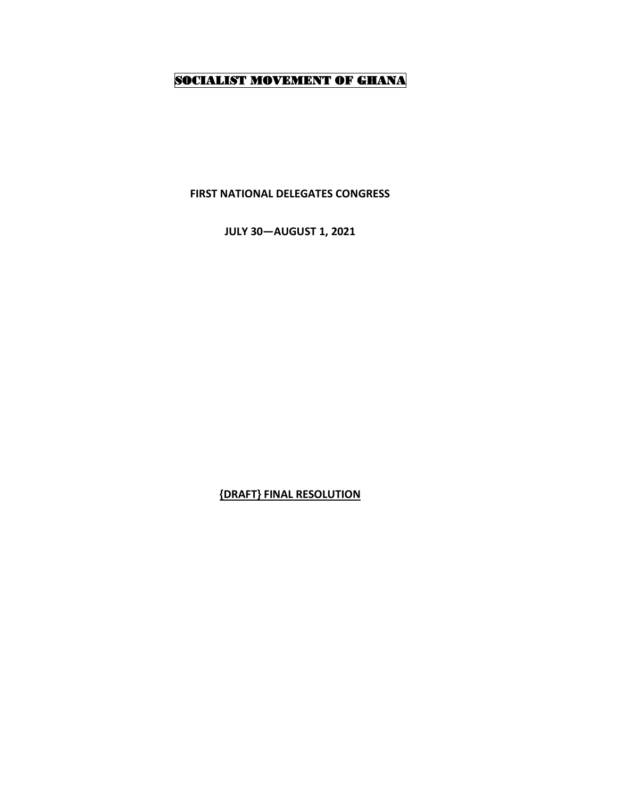## SOCIALIST MOVEMENT OF GHANA

**FIRST NATIONAL DELEGATES CONGRESS** 

**JULY 30—AUGUST 1, 2021**

**{DRAFT} FINAL RESOLUTION**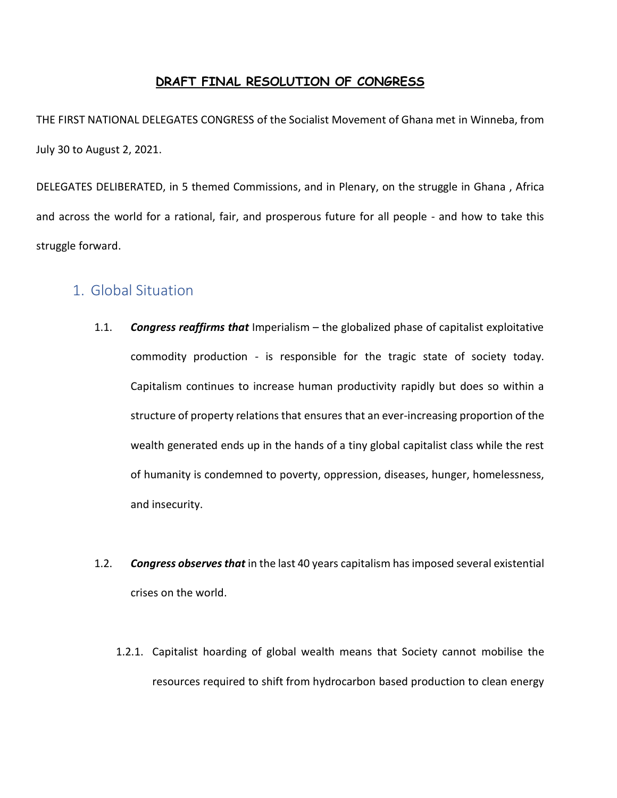#### **DRAFT FINAL RESOLUTION OF CONGRESS**

THE FIRST NATIONAL DELEGATES CONGRESS of the Socialist Movement of Ghana met in Winneba, from July 30 to August 2, 2021.

DELEGATES DELIBERATED, in 5 themed Commissions, and in Plenary, on the struggle in Ghana , Africa and across the world for a rational, fair, and prosperous future for all people - and how to take this struggle forward.

## 1. Global Situation

- 1.1. *Congress reaffirms that* Imperialism the globalized phase of capitalist exploitative commodity production - is responsible for the tragic state of society today. Capitalism continues to increase human productivity rapidly but does so within a structure of property relations that ensures that an ever-increasing proportion of the wealth generated ends up in the hands of a tiny global capitalist class while the rest of humanity is condemned to poverty, oppression, diseases, hunger, homelessness, and insecurity.
- 1.2. *Congress observes that* in the last 40 years capitalism has imposed several existential crises on the world.
	- 1.2.1. Capitalist hoarding of global wealth means that Society cannot mobilise the resources required to shift from hydrocarbon based production to clean energy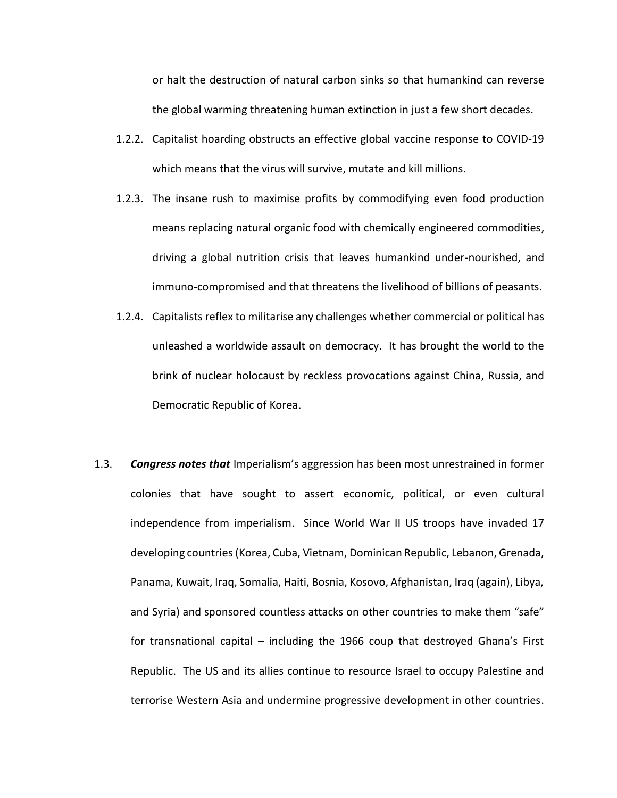or halt the destruction of natural carbon sinks so that humankind can reverse the global warming threatening human extinction in just a few short decades.

- 1.2.2. Capitalist hoarding obstructs an effective global vaccine response to COVID-19 which means that the virus will survive, mutate and kill millions.
- 1.2.3. The insane rush to maximise profits by commodifying even food production means replacing natural organic food with chemically engineered commodities, driving a global nutrition crisis that leaves humankind under-nourished, and immuno-compromised and that threatens the livelihood of billions of peasants.
- 1.2.4. Capitalists reflex to militarise any challenges whether commercial or political has unleashed a worldwide assault on democracy. It has brought the world to the brink of nuclear holocaust by reckless provocations against China, Russia, and Democratic Republic of Korea.
- 1.3. *Congress notes that* Imperialism's aggression has been most unrestrained in former colonies that have sought to assert economic, political, or even cultural independence from imperialism. Since World War II US troops have invaded 17 developing countries (Korea, Cuba, Vietnam, Dominican Republic, Lebanon, Grenada, Panama, Kuwait, Iraq, Somalia, Haiti, Bosnia, Kosovo, Afghanistan, Iraq (again), Libya, and Syria) and sponsored countless attacks on other countries to make them "safe" for transnational capital – including the 1966 coup that destroyed Ghana's First Republic. The US and its allies continue to resource Israel to occupy Palestine and terrorise Western Asia and undermine progressive development in other countries.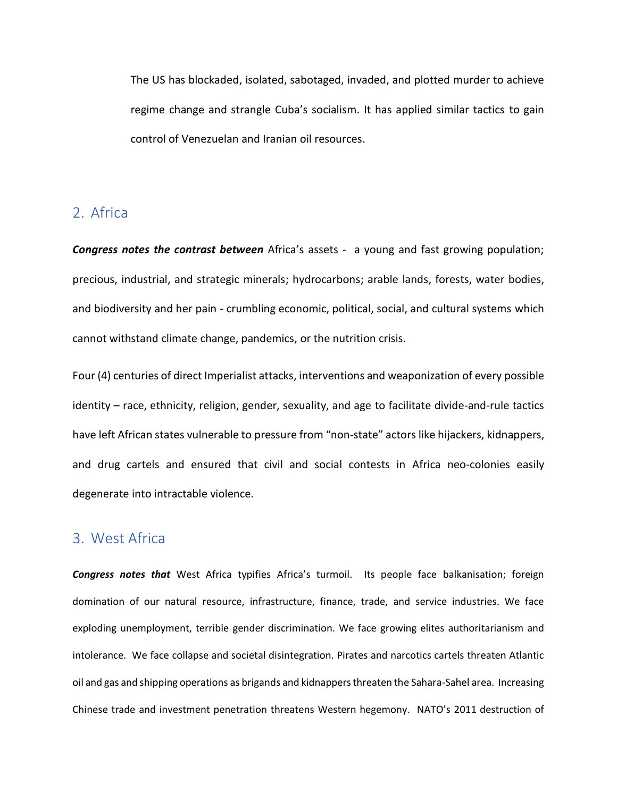The US has blockaded, isolated, sabotaged, invaded, and plotted murder to achieve regime change and strangle Cuba's socialism. It has applied similar tactics to gain control of Venezuelan and Iranian oil resources.

## 2. Africa

*Congress notes the contrast between* Africa's assets - a young and fast growing population; precious, industrial, and strategic minerals; hydrocarbons; arable lands, forests, water bodies, and biodiversity and her pain - crumbling economic, political, social, and cultural systems which cannot withstand climate change, pandemics, or the nutrition crisis.

Four (4) centuries of direct Imperialist attacks, interventions and weaponization of every possible identity – race, ethnicity, religion, gender, sexuality, and age to facilitate divide-and-rule tactics have left African states vulnerable to pressure from "non-state" actors like hijackers, kidnappers, and drug cartels and ensured that civil and social contests in Africa neo-colonies easily degenerate into intractable violence.

## 3. West Africa

*Congress notes that* West Africa typifies Africa's turmoil. Its people face balkanisation; foreign domination of our natural resource, infrastructure, finance, trade, and service industries. We face exploding unemployment, terrible gender discrimination. We face growing elites authoritarianism and intolerance. We face collapse and societal disintegration. Pirates and narcotics cartels threaten Atlantic oil and gas and shipping operations as brigands and kidnappers threaten the Sahara-Sahel area. Increasing Chinese trade and investment penetration threatens Western hegemony. NATO's 2011 destruction of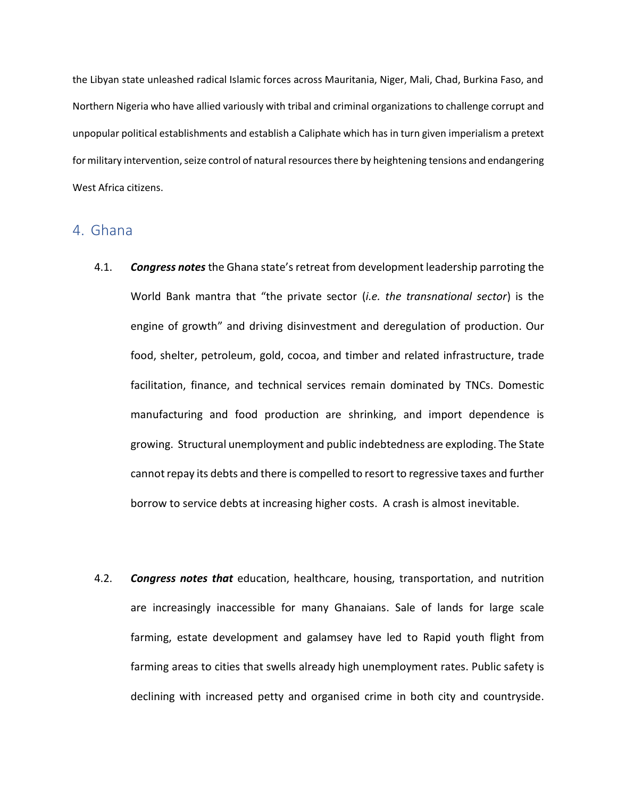the Libyan state unleashed radical Islamic forces across Mauritania, Niger, Mali, Chad, Burkina Faso, and Northern Nigeria who have allied variously with tribal and criminal organizations to challenge corrupt and unpopular political establishments and establish a Caliphate which has in turn given imperialism a pretext for military intervention, seize control of natural resources there by heightening tensions and endangering West Africa citizens.

#### 4. Ghana

- 4.1. *Congress notes* the Ghana state'sretreat from development leadership parroting the World Bank mantra that "the private sector (*i.e. the transnational sector*) is the engine of growth" and driving disinvestment and deregulation of production. Our food, shelter, petroleum, gold, cocoa, and timber and related infrastructure, trade facilitation, finance, and technical services remain dominated by TNCs. Domestic manufacturing and food production are shrinking, and import dependence is growing. Structural unemployment and public indebtedness are exploding. The State cannot repay its debts and there is compelled to resort to regressive taxes and further borrow to service debts at increasing higher costs. A crash is almost inevitable.
- 4.2. *Congress notes that* education, healthcare, housing, transportation, and nutrition are increasingly inaccessible for many Ghanaians. Sale of lands for large scale farming, estate development and galamsey have led to Rapid youth flight from farming areas to cities that swells already high unemployment rates. Public safety is declining with increased petty and organised crime in both city and countryside.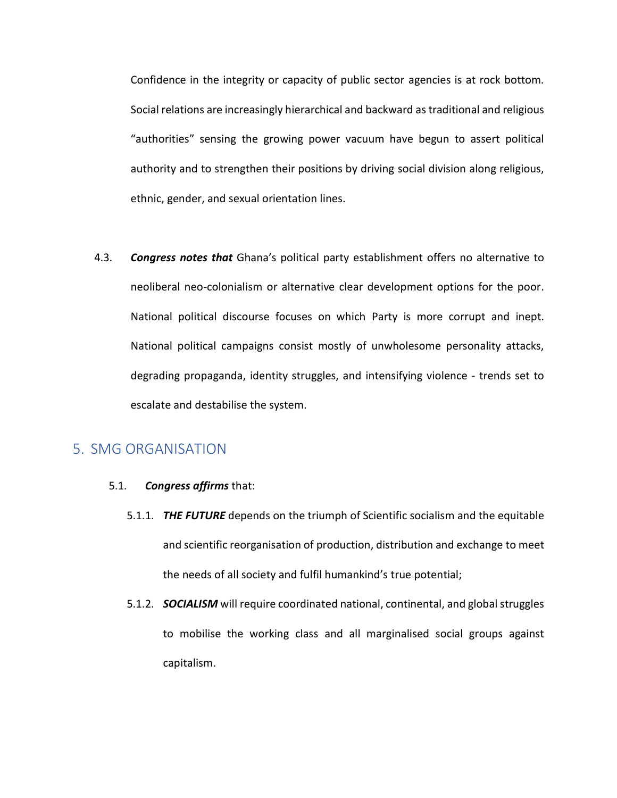Confidence in the integrity or capacity of public sector agencies is at rock bottom. Social relations are increasingly hierarchical and backward as traditional and religious "authorities" sensing the growing power vacuum have begun to assert political authority and to strengthen their positions by driving social division along religious, ethnic, gender, and sexual orientation lines.

4.3. *Congress notes that* Ghana's political party establishment offers no alternative to neoliberal neo-colonialism or alternative clear development options for the poor. National political discourse focuses on which Party is more corrupt and inept. National political campaigns consist mostly of unwholesome personality attacks, degrading propaganda, identity struggles, and intensifying violence - trends set to escalate and destabilise the system.

#### 5. SMG ORGANISATION

- 5.1. *Congress affirms* that:
	- 5.1.1. *THE FUTURE* depends on the triumph of Scientific socialism and the equitable and scientific reorganisation of production, distribution and exchange to meet the needs of all society and fulfil humankind's true potential;
	- 5.1.2. *SOCIALISM* will require coordinated national, continental, and global struggles to mobilise the working class and all marginalised social groups against capitalism.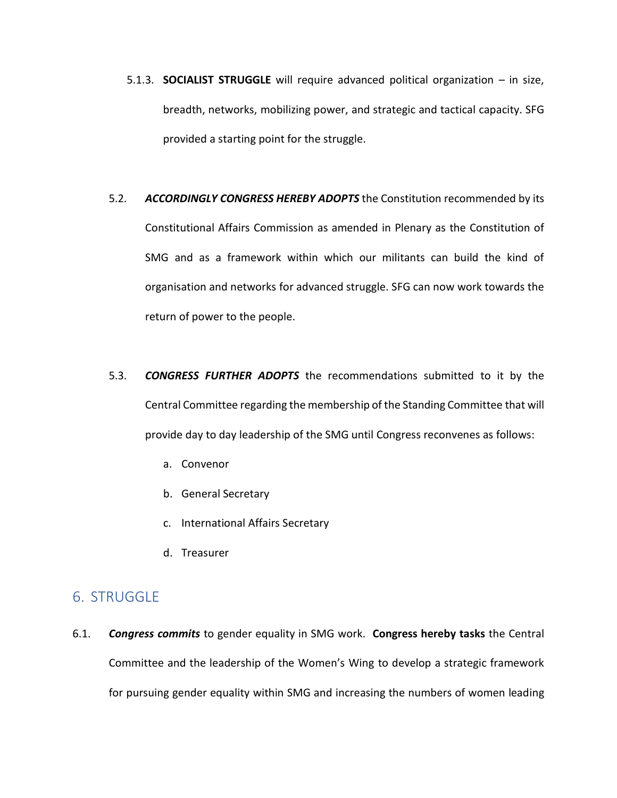- 5.1.3. **SOCIALIST STRUGGLE** will require advanced political organization in size, breadth, networks, mobilizing power, and strategic and tactical capacity. SFG provided a starting point for the struggle.
- 5.2. *ACCORDINGLY CONGRESS HEREBY ADOPTS* the Constitution recommended by its Constitutional Affairs Commission as amended in Plenary as the Constitution of SMG and as a framework within which our militants can build the kind of organisation and networks for advanced struggle. SFG can now work towards the return of power to the people.
- 5.3. *CONGRESS FURTHER ADOPTS* the recommendations submitted to it by the Central Committee regarding the membership of the Standing Committee that will provide day to day leadership of the SMG until Congress reconvenes as follows:
	- a. Convenor
	- b. General Secretary
	- c. International Affairs Secretary
	- d. Treasurer

## 6. STRUGGLE

6.1. *Congress commits* to gender equality in SMG work. **Congress hereby tasks** the Central Committee and the leadership of the Women's Wing to develop a strategic framework for pursuing gender equality within SMG and increasing the numbers of women leading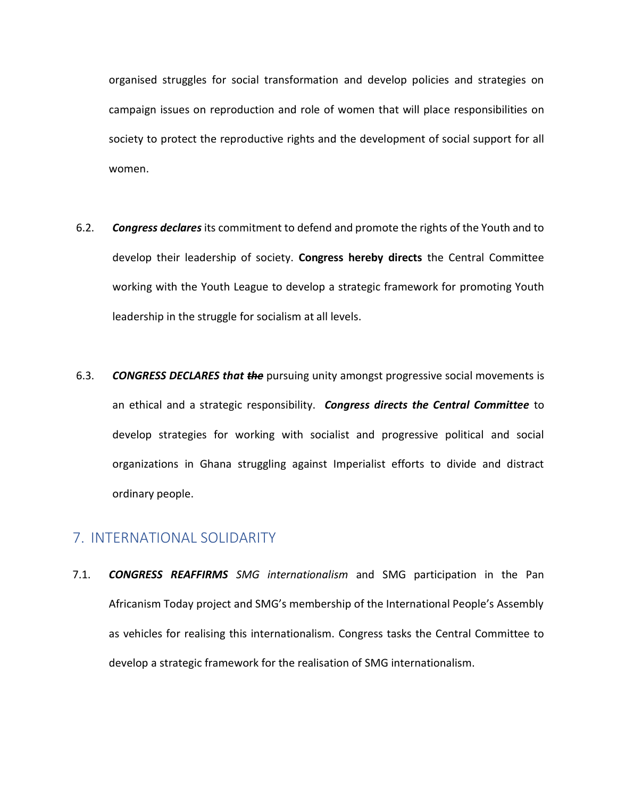organised struggles for social transformation and develop policies and strategies on campaign issues on reproduction and role of women that will place responsibilities on society to protect the reproductive rights and the development of social support for all women.

- 6.2. *Congress declares* its commitment to defend and promote the rights of the Youth and to develop their leadership of society. **Congress hereby directs** the Central Committee working with the Youth League to develop a strategic framework for promoting Youth leadership in the struggle for socialism at all levels.
- 6.3. *CONGRESS DECLARES that the* pursuing unity amongst progressive social movements is an ethical and a strategic responsibility. *Congress directs the Central Committee* to develop strategies for working with socialist and progressive political and social organizations in Ghana struggling against Imperialist efforts to divide and distract ordinary people.

### 7. INTERNATIONAL SOLIDARITY

7.1. *CONGRESS REAFFIRMS SMG internationalism* and SMG participation in the Pan Africanism Today project and SMG's membership of the International People's Assembly as vehicles for realising this internationalism. Congress tasks the Central Committee to develop a strategic framework for the realisation of SMG internationalism.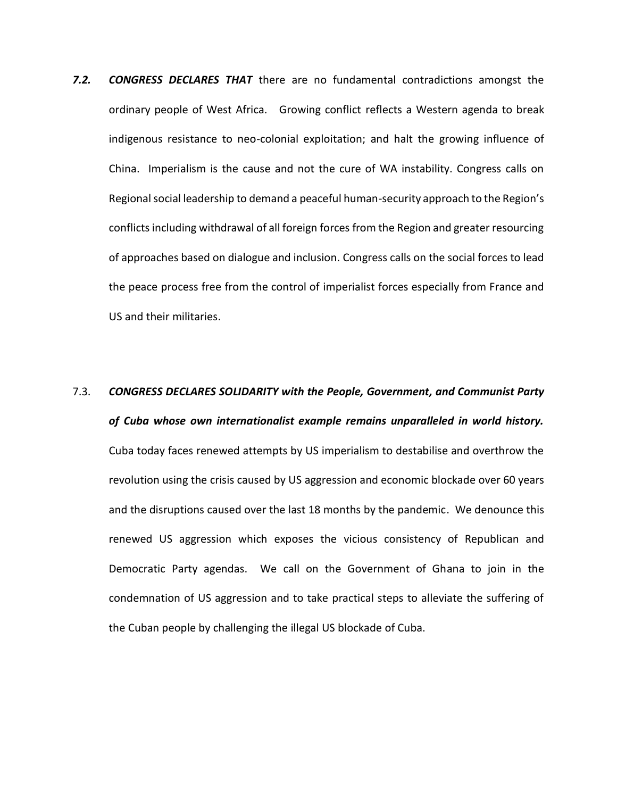- *7.2. CONGRESS DECLARES THAT* there are no fundamental contradictions amongst the ordinary people of West Africa. Growing conflict reflects a Western agenda to break indigenous resistance to neo-colonial exploitation; and halt the growing influence of China. Imperialism is the cause and not the cure of WA instability. Congress calls on Regional social leadership to demand a peaceful human-security approach to the Region's conflicts including withdrawal of all foreign forces from the Region and greater resourcing of approaches based on dialogue and inclusion. Congress calls on the social forces to lead the peace process free from the control of imperialist forces especially from France and US and their militaries.
- 7.3. *CONGRESS DECLARES SOLIDARITY with the People, Government, and Communist Party of Cuba whose own internationalist example remains unparalleled in world history.*  Cuba today faces renewed attempts by US imperialism to destabilise and overthrow the revolution using the crisis caused by US aggression and economic blockade over 60 years and the disruptions caused over the last 18 months by the pandemic. We denounce this renewed US aggression which exposes the vicious consistency of Republican and Democratic Party agendas. We call on the Government of Ghana to join in the condemnation of US aggression and to take practical steps to alleviate the suffering of the Cuban people by challenging the illegal US blockade of Cuba.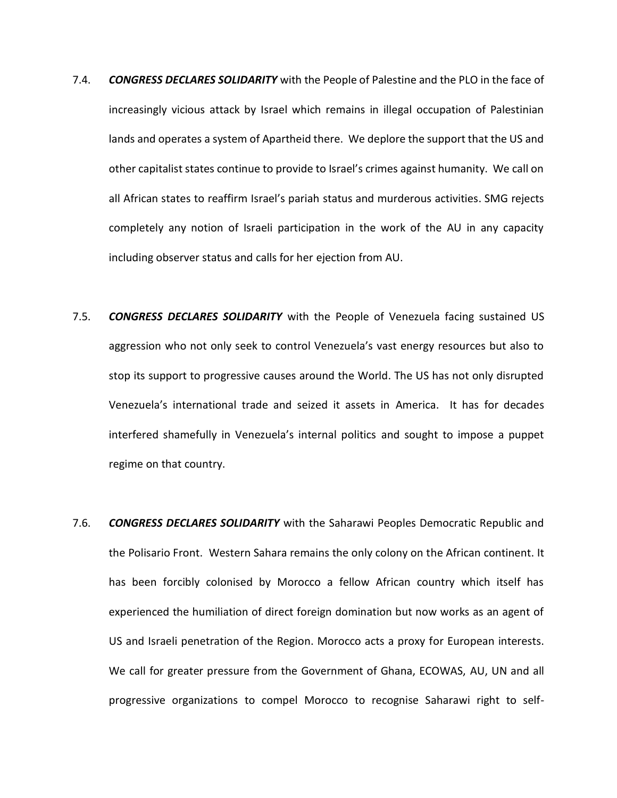- 7.4. *CONGRESS DECLARES SOLIDARITY* with the People of Palestine and the PLO in the face of increasingly vicious attack by Israel which remains in illegal occupation of Palestinian lands and operates a system of Apartheid there. We deplore the support that the US and other capitalist states continue to provide to Israel's crimes against humanity. We call on all African states to reaffirm Israel's pariah status and murderous activities. SMG rejects completely any notion of Israeli participation in the work of the AU in any capacity including observer status and calls for her ejection from AU.
- 7.5. *CONGRESS DECLARES SOLIDARITY* with the People of Venezuela facing sustained US aggression who not only seek to control Venezuela's vast energy resources but also to stop its support to progressive causes around the World. The US has not only disrupted Venezuela's international trade and seized it assets in America. It has for decades interfered shamefully in Venezuela's internal politics and sought to impose a puppet regime on that country.
- 7.6. *CONGRESS DECLARES SOLIDARITY* with the Saharawi Peoples Democratic Republic and the Polisario Front. Western Sahara remains the only colony on the African continent. It has been forcibly colonised by Morocco a fellow African country which itself has experienced the humiliation of direct foreign domination but now works as an agent of US and Israeli penetration of the Region. Morocco acts a proxy for European interests. We call for greater pressure from the Government of Ghana, ECOWAS, AU, UN and all progressive organizations to compel Morocco to recognise Saharawi right to self-